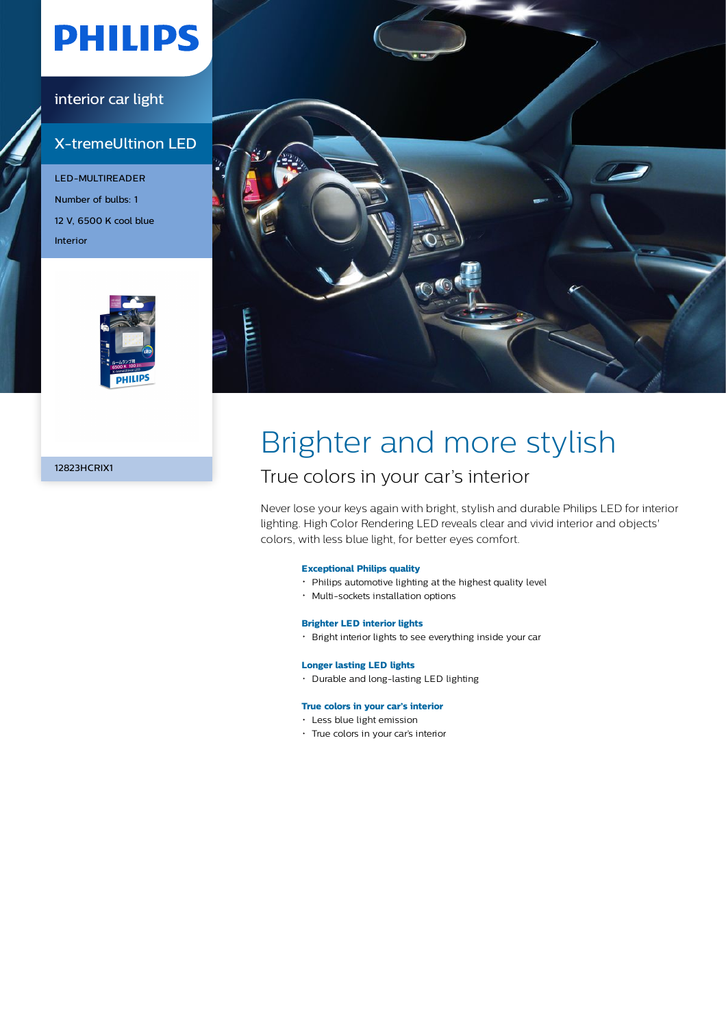# **PHILIPS**

### interior car light

## X-tremeUltinon LED

LED-MULTIREADER Number of bulbs: 1 12 V, 6500 K cool blue Interior





12823HCRIX1

# Brighter and more stylish

## True colors in your car's interior

Never lose your keys again with bright, stylish and durable Philips LED for interior lighting. High Color Rendering LED reveals clear and vivid interior and objects' colors, with less blue light, for better eyes comfort.

### **Exceptional Philips quality**

- Philips automotive lighting at the highest quality level
- Multi-sockets installation options

### **Brighter LED interior lights**

Bright interior lights to see everything inside your car

### **Longer lasting LED lights**

Durable and long-lasting LED lighting

#### **True colors in your car's interior**

- Less blue light emission
- True colors in your car's interior